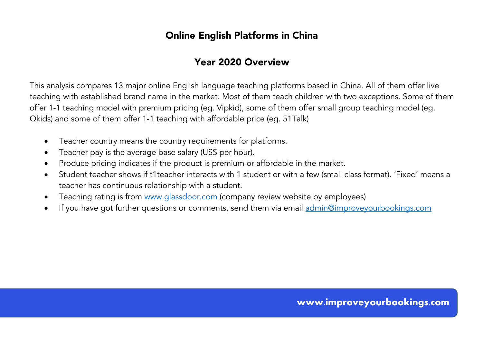# Year 2020 Overview

This analysis compares 13 major online English language teaching platforms based in China. All of them offer live teaching with established brand name in the market. Most of them teach children with two exceptions. Some of them offer 1-1 teaching model with premium pricing (eg. Vipkid), some of them offer small group teaching model (eg. Qkids) and some of them offer 1-1 teaching with affordable price (eg. 51Talk)

- Teacher country means the country requirements for platforms.
- Teacher pay is the average base salary (US\$ per hour).
- Produce pricing indicates if the product is premium or affordable in the market.
- Student teacher shows if t1teacher interacts with 1 student or with a few (small class format). 'Fixed' means a teacher has continuous relationship with a student.
- Teaching rating is from www.glassdoor.com (company review website by employees)
- If you have got further questions or comments, send them via email admin@improveyourbookings.com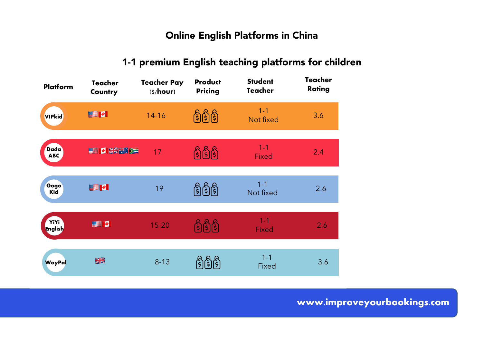# 1-1 premium English teaching platforms for children

| Platform                  | <b>Teacher</b><br>Country | <b>Teacher Pay</b><br>(s/hour) | Product<br><b>Pricing</b> | <b>Student</b><br><b>Teacher</b> | Teacher<br>Rating |
|---------------------------|---------------------------|--------------------------------|---------------------------|----------------------------------|-------------------|
| <b>VIPkid</b>             | SI 21                     | $14 - 16$                      | <u> ရွှေမြွှေ</u>         | $1 - 1$<br>Not fixed             | 3.6               |
| <b>Dada</b><br><b>ABC</b> | SIDE SKEEPE               | 17                             | ရြံရြှိရြှ                | $1 - 1$<br>Fixed                 | 2.4               |
| Gogo<br>Kid               | SIM                       | 19                             | ရှိမြို့ရှိ               | $1 - 1$<br>Not fixed             | 2.6               |
| YiYi<br>English           | SE D                      | $15 - 20$                      | ၛႄၛႄၘၛ                    | $1 - 1$<br><b>Fixed</b>          | 2.6               |
| <b>WayPal</b>             | XK                        | $8 - 13$                       |                           | $1 - 1$<br><b>Fixed</b>          | 3.6               |

www.improveyourbookings.com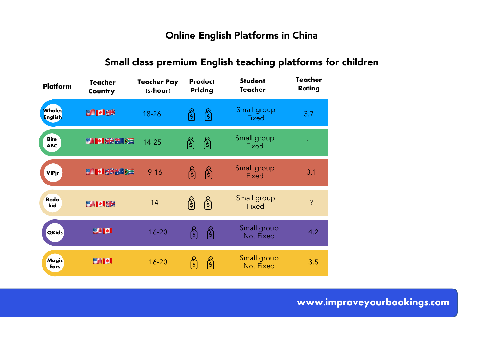# Small class premium English teaching platforms for children

| Platform                  | Teacher<br>Country | Teacher Pay<br>(s/hour) | Product<br>Pricing | <b>Student</b><br><b>Teacher</b> | Teacher<br>Rating |
|---------------------------|--------------------|-------------------------|--------------------|----------------------------------|-------------------|
| Whales<br><b>English</b>  | <b>SIMBRO</b>      | $18 - 26$               | (3<br>ŝ            | Small group<br>Fixed             | 3.7               |
| <b>Bite</b><br><b>ABC</b> | <b>SPINGER</b>     | 14-25                   | (န်)<br> \$        | Small group<br>Fixed             |                   |
| <b>VIPjr</b>              | <b>国内联科区</b>       | $9 - 16$                | ဇြို<br>ြိ         | Small group<br>Fixed             | 3.1               |
| Beda<br>kid               | SIMIK              | 14                      | ဇြ<br>ြ            | Small group<br>Fixed             | ?                 |
| <b>QKids</b>              | e d                | $16 - 20$               | ဇြို<br> \$        | Small group<br><b>Not Fixed</b>  | 4.2               |
| Magic<br>Ears             | e d                | $16 - 20$               | ဇြိ                | Small group<br><b>Not Fixed</b>  | 3.5               |

www.improveyourbookings.com